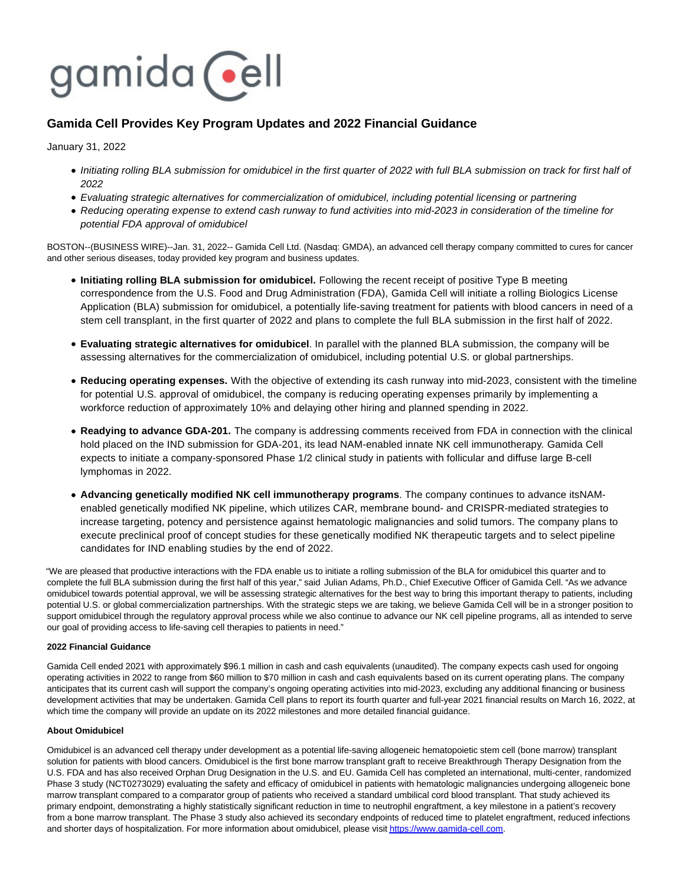

# **Gamida Cell Provides Key Program Updates and 2022 Financial Guidance**

January 31, 2022

- Initiating rolling BLA submission for omidubicel in the first quarter of 2022 with full BLA submission on track for first half of 2022
- Evaluating strategic alternatives for commercialization of omidubicel, including potential licensing or partnering
- Reducing operating expense to extend cash runway to fund activities into mid-2023 in consideration of the timeline for potential FDA approval of omidubicel

BOSTON--(BUSINESS WIRE)--Jan. 31, 2022-- Gamida Cell Ltd. (Nasdaq: GMDA), an advanced cell therapy company committed to cures for cancer and other serious diseases, today provided key program and business updates.

- **Initiating rolling BLA submission for omidubicel.** Following the recent receipt of positive Type B meeting correspondence from the U.S. Food and Drug Administration (FDA), Gamida Cell will initiate a rolling Biologics License Application (BLA) submission for omidubicel, a potentially life-saving treatment for patients with blood cancers in need of a stem cell transplant, in the first quarter of 2022 and plans to complete the full BLA submission in the first half of 2022.
- **Evaluating strategic alternatives for omidubicel**. In parallel with the planned BLA submission, the company will be assessing alternatives for the commercialization of omidubicel, including potential U.S. or global partnerships.
- **Reducing operating expenses.** With the objective of extending its cash runway into mid-2023, consistent with the timeline for potential U.S. approval of omidubicel, the company is reducing operating expenses primarily by implementing a workforce reduction of approximately 10% and delaying other hiring and planned spending in 2022.
- **Readying to advance GDA-201.** The company is addressing comments received from FDA in connection with the clinical hold placed on the IND submission for GDA-201, its lead NAM-enabled innate NK cell immunotherapy. Gamida Cell expects to initiate a company-sponsored Phase 1/2 clinical study in patients with follicular and diffuse large B-cell lymphomas in 2022.
- **Advancing genetically modified NK cell immunotherapy programs**. The company continues to advance itsNAMenabled genetically modified NK pipeline, which utilizes CAR, membrane bound- and CRISPR-mediated strategies to increase targeting, potency and persistence against hematologic malignancies and solid tumors. The company plans to execute preclinical proof of concept studies for these genetically modified NK therapeutic targets and to select pipeline candidates for IND enabling studies by the end of 2022.

"We are pleased that productive interactions with the FDA enable us to initiate a rolling submission of the BLA for omidubicel this quarter and to complete the full BLA submission during the first half of this year," said Julian Adams, Ph.D., Chief Executive Officer of Gamida Cell. "As we advance omidubicel towards potential approval, we will be assessing strategic alternatives for the best way to bring this important therapy to patients, including potential U.S. or global commercialization partnerships. With the strategic steps we are taking, we believe Gamida Cell will be in a stronger position to support omidubicel through the regulatory approval process while we also continue to advance our NK cell pipeline programs, all as intended to serve our goal of providing access to life-saving cell therapies to patients in need."

# **2022 Financial Guidance**

Gamida Cell ended 2021 with approximately \$96.1 million in cash and cash equivalents (unaudited). The company expects cash used for ongoing operating activities in 2022 to range from \$60 million to \$70 million in cash and cash equivalents based on its current operating plans. The company anticipates that its current cash will support the company's ongoing operating activities into mid-2023, excluding any additional financing or business development activities that may be undertaken. Gamida Cell plans to report its fourth quarter and full-year 2021 financial results on March 16, 2022, at which time the company will provide an update on its 2022 milestones and more detailed financial guidance.

# **About Omidubicel**

Omidubicel is an advanced cell therapy under development as a potential life-saving allogeneic hematopoietic stem cell (bone marrow) transplant solution for patients with blood cancers. Omidubicel is the first bone marrow transplant graft to receive Breakthrough Therapy Designation from the U.S. FDA and has also received Orphan Drug Designation in the U.S. and EU. Gamida Cell has completed an international, multi-center, randomized Phase 3 study (NCT0273029) evaluating the safety and efficacy of omidubicel in patients with hematologic malignancies undergoing allogeneic bone marrow transplant compared to a comparator group of patients who received a standard umbilical cord blood transplant. That study achieved its primary endpoint, demonstrating a highly statistically significant reduction in time to neutrophil engraftment, a key milestone in a patient's recovery from a bone marrow transplant. The Phase 3 study also achieved its secondary endpoints of reduced time to platelet engraftment, reduced infections and shorter days of hospitalization. For more information about omidubicel, please visi[t https://www.gamida-cell.com.](https://cts.businesswire.com/ct/CT?id=smartlink&url=https%3A%2F%2Fwww.gamida-cell.com&esheet=52570830&newsitemid=20220131005177&lan=en-US&anchor=https%3A%2F%2Fwww.gamida-cell.com&index=1&md5=67ccc4915cb4cbf15aafe11d82045752)